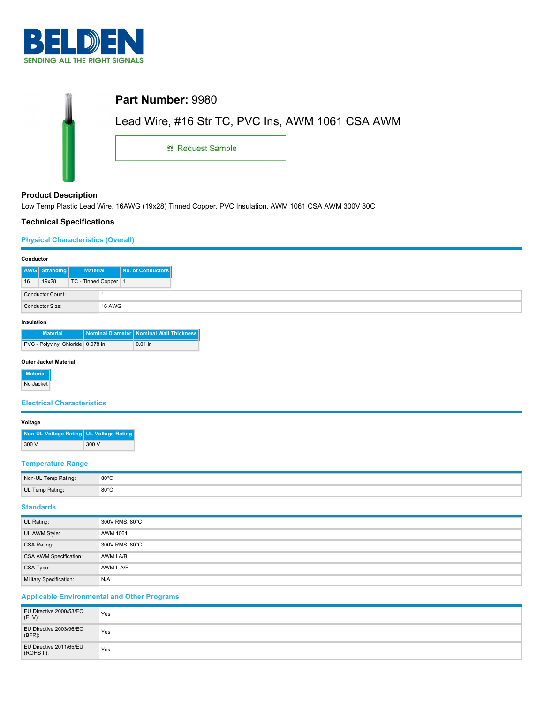

| Part Number: 9980                                |  |
|--------------------------------------------------|--|
| Lead Wire, #16 Str TC, PVC Ins, AWM 1061 CSA AWM |  |
| <sub>11</sub> Request Sample                     |  |
|                                                  |  |

### **Product Description**

Low Temp Plastic Lead Wire, 16AWG (19x28) Tinned Copper, PVC Insulation, AWM 1061 CSA AWM 300V 80C

## **Technical Specifications**

# **Physical Characteristics (Overall)**

| Conductor |                         |                 |                      |                   |
|-----------|-------------------------|-----------------|----------------------|-------------------|
|           | AWG Stranding           | <b>Material</b> |                      | No. of Conductors |
| 16        | 19x28                   |                 | TC - Tinned Copper 1 |                   |
|           | <b>Conductor Count:</b> |                 |                      |                   |
|           | Conductor Size:         |                 | 16 AWG               |                   |

### **Insulation**

| <b>Material</b>                   | Nominal Diameter   Nominal Wall Thickness |
|-----------------------------------|-------------------------------------------|
| PVC - Polyvinyl Chloride 0.078 in | $0.01$ in                                 |

### **Outer Jacket Material**

**Material** No Jacket

#### **Electrical Characteristics**

#### **Voltage**

| Non-UL Voltage Rating UL Voltage Rating |       |
|-----------------------------------------|-------|
| 300 V                                   | 300 V |

# **Temperature Range**

| Non-UL Temp Rating: | $80^{\circ}$ C |
|---------------------|----------------|
| UL Temp Rating:     | $80^{\circ}$ C |

#### **Standards**

| UL Rating:              | 300V RMS, 80°C |
|-------------------------|----------------|
| UL AWM Style:           | AWM 1061       |
| CSA Rating:             | 300V RMS, 80°C |
| CSA AWM Specification:  | AWM I A/B      |
| CSA Type:               | AWM I, A/B     |
| Military Specification: | N/A            |

# **Applicable Environmental and Other Programs**

| EU Directive 2000/53/EC<br>(ELV):     | Yes |
|---------------------------------------|-----|
| EU Directive 2003/96/EC<br>(BFR):     | Yes |
| EU Directive 2011/65/EU<br>(ROHS II): | Yes |